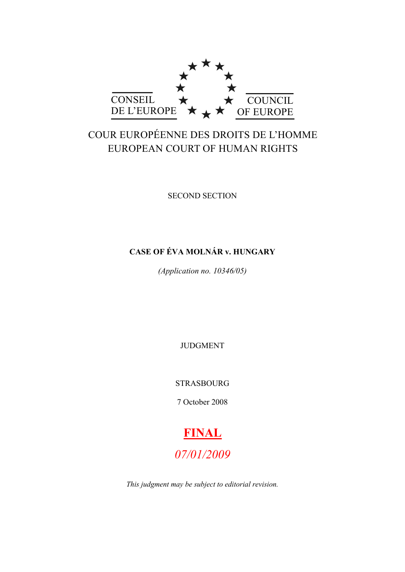

# COUR EUROPÉENNE DES DROITS DE L'HOMME EUROPEAN COURT OF HUMAN RIGHTS

SECOND SECTION

## **CASE OF ÉVA MOLNÁR v. HUNGARY**

*(Application no. 10346/05)*

JUDGMENT

STRASBOURG

7 October 2008



*This judgment may be subject to editorial revision.*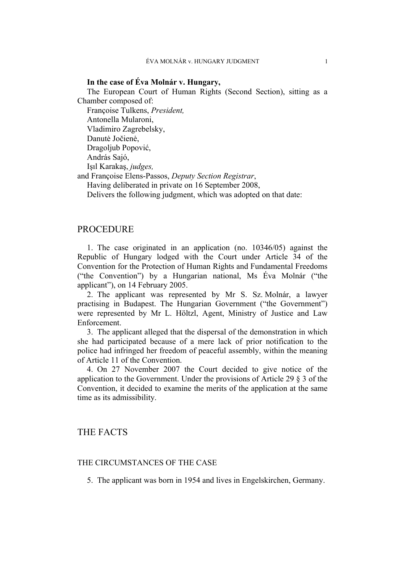## **In the case of Éva Molnár v. Hungary,**

The European Court of Human Rights (Second Section), sitting as a Chamber composed of:

Françoise Tulkens, *President,* Antonella Mularoni, Vladimiro Zagrebelsky, Danutė Jočienė, Dragoljub Popović, András Sajó, Işıl Karakaş, *judges,*

and Françoise Elens-Passos, *Deputy Section Registrar*,

Having deliberated in private on 16 September 2008,

Delivers the following judgment, which was adopted on that date:

## **PROCEDURE**

1. The case originated in an application (no. 10346/05) against the Republic of Hungary lodged with the Court under Article 34 of the Convention for the Protection of Human Rights and Fundamental Freedoms ("the Convention") by a Hungarian national, Ms Éva Molnár ("the applicant"), on 14 February 2005.

2. The applicant was represented by Mr S. Sz. Molnár, a lawyer practising in Budapest. The Hungarian Government ("the Government") were represented by Mr L. Höltzl, Agent, Ministry of Justice and Law Enforcement.

3. The applicant alleged that the dispersal of the demonstration in which she had participated because of a mere lack of prior notification to the police had infringed her freedom of peaceful assembly, within the meaning of Article 11 of the Convention.

4. On 27 November 2007 the Court decided to give notice of the application to the Government. Under the provisions of Article 29 § 3 of the Convention, it decided to examine the merits of the application at the same time as its admissibility.

## THE FACTS

## THE CIRCUMSTANCES OF THE CASE

5. The applicant was born in 1954 and lives in Engelskirchen, Germany.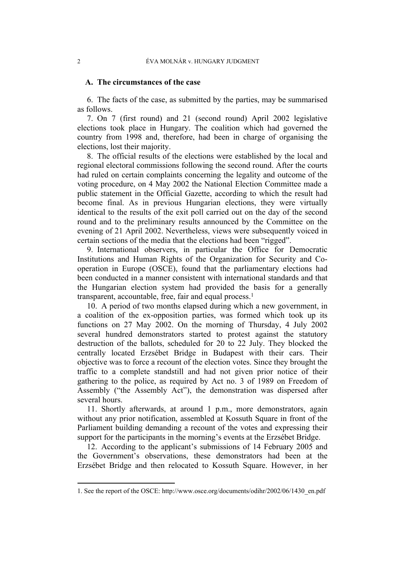## **A. The circumstances of the case**

6. The facts of the case, as submitted by the parties, may be summarised as follows.

7. On 7 (first round) and 21 (second round) April 2002 legislative elections took place in Hungary. The coalition which had governed the country from 1998 and, therefore, had been in charge of organising the elections, lost their majority.

8. The official results of the elections were established by the local and regional electoral commissions following the second round. After the courts had ruled on certain complaints concerning the legality and outcome of the voting procedure, on 4 May 2002 the National Election Committee made a public statement in the Official Gazette, according to which the result had become final. As in previous Hungarian elections, they were virtually identical to the results of the exit poll carried out on the day of the second round and to the preliminary results announced by the Committee on the evening of 21 April 2002. Nevertheless, views were subsequently voiced in certain sections of the media that the elections had been "rigged".

9. International observers, in particular the Office for Democratic Institutions and Human Rights of the Organization for Security and Cooperation in Europe (OSCE), found that the parliamentary elections had been conducted in a manner consistent with international standards and that the Hungarian election system had provided the basis for a generally transparent, accountable, free, fair and equal process.<sup>1</sup>

10. A period of two months elapsed during which a new government, in a coalition of the ex-opposition parties, was formed which took up its functions on 27 May 2002. On the morning of Thursday, 4 July 2002 several hundred demonstrators started to protest against the statutory destruction of the ballots, scheduled for 20 to 22 July. They blocked the centrally located Erzsébet Bridge in Budapest with their cars. Their objective was to force a recount of the election votes. Since they brought the traffic to a complete standstill and had not given prior notice of their gathering to the police, as required by Act no. 3 of 1989 on Freedom of Assembly ("the Assembly Act"), the demonstration was dispersed after several hours.

11. Shortly afterwards, at around 1 p.m., more demonstrators, again without any prior notification, assembled at Kossuth Square in front of the Parliament building demanding a recount of the votes and expressing their support for the participants in the morning's events at the Erzsébet Bridge.

12. According to the applicant's submissions of 14 February 2005 and the Government's observations, these demonstrators had been at the Erzsébet Bridge and then relocated to Kossuth Square. However, in her

<sup>1.</sup> See the report of the OSCE: http://www.osce.org/documents/odihr/2002/06/1430\_en.pdf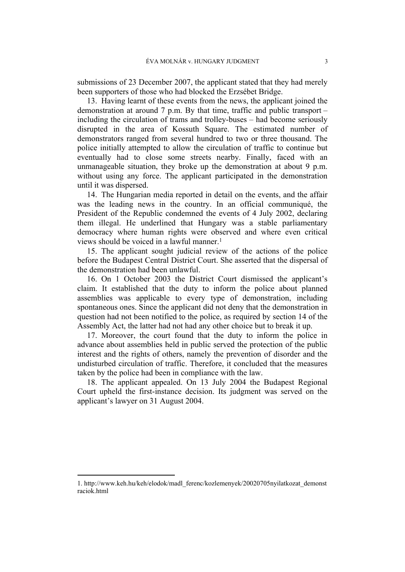submissions of 23 December 2007, the applicant stated that they had merely been supporters of those who had blocked the Erzsébet Bridge.

13. Having learnt of these events from the news, the applicant joined the demonstration at around 7 p.m. By that time, traffic and public transport – including the circulation of trams and trolley-buses – had become seriously disrupted in the area of Kossuth Square. The estimated number of demonstrators ranged from several hundred to two or three thousand. The police initially attempted to allow the circulation of traffic to continue but eventually had to close some streets nearby. Finally, faced with an unmanageable situation, they broke up the demonstration at about 9 p.m. without using any force. The applicant participated in the demonstration until it was dispersed.

14. The Hungarian media reported in detail on the events, and the affair was the leading news in the country. In an official communiqué, the President of the Republic condemned the events of 4 July 2002, declaring them illegal. He underlined that Hungary was a stable parliamentary democracy where human rights were observed and where even critical views should be voiced in a lawful manner.<sup>1</sup>

15. The applicant sought judicial review of the actions of the police before the Budapest Central District Court. She asserted that the dispersal of the demonstration had been unlawful.

16. On 1 October 2003 the District Court dismissed the applicant's claim. It established that the duty to inform the police about planned assemblies was applicable to every type of demonstration, including spontaneous ones. Since the applicant did not deny that the demonstration in question had not been notified to the police, as required by section 14 of the Assembly Act, the latter had not had any other choice but to break it up.

17. Moreover, the court found that the duty to inform the police in advance about assemblies held in public served the protection of the public interest and the rights of others, namely the prevention of disorder and the undisturbed circulation of traffic. Therefore, it concluded that the measures taken by the police had been in compliance with the law.

18. The applicant appealed. On 13 July 2004 the Budapest Regional Court upheld the first-instance decision. Its judgment was served on the applicant's lawyer on 31 August 2004.

<sup>1.</sup> http://www.keh.hu/keh/elodok/madl\_ferenc/kozlemenyek/20020705nyilatkozat\_demonst raciok.html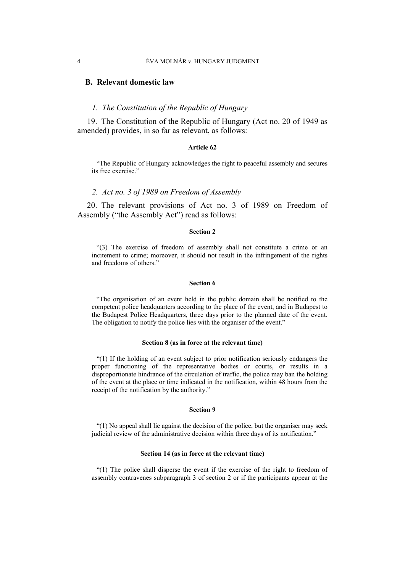## **B. Relevant domestic law**

## *1. The Constitution of the Republic of Hungary*

19. The Constitution of the Republic of Hungary (Act no. 20 of 1949 as amended) provides, in so far as relevant, as follows:

### **Article 62**

"The Republic of Hungary acknowledges the right to peaceful assembly and secures its free exercise."

## *2. Act no. 3 of 1989 on Freedom of Assembly*

20. The relevant provisions of Act no. 3 of 1989 on Freedom of Assembly ("the Assembly Act") read as follows:

### **Section 2**

"(3) The exercise of freedom of assembly shall not constitute a crime or an incitement to crime; moreover, it should not result in the infringement of the rights and freedoms of others."

#### **Section 6**

"The organisation of an event held in the public domain shall be notified to the competent police headquarters according to the place of the event, and in Budapest to the Budapest Police Headquarters, three days prior to the planned date of the event. The obligation to notify the police lies with the organiser of the event."

#### **Section 8 (as in force at the relevant time)**

"(1) If the holding of an event subject to prior notification seriously endangers the proper functioning of the representative bodies or courts, or results in a disproportionate hindrance of the circulation of traffic, the police may ban the holding of the event at the place or time indicated in the notification, within 48 hours from the receipt of the notification by the authority."

#### **Section 9**

"(1) No appeal shall lie against the decision of the police, but the organiser may seek judicial review of the administrative decision within three days of its notification."

#### **Section 14 (as in force at the relevant time)**

"(1) The police shall disperse the event if the exercise of the right to freedom of assembly contravenes subparagraph 3 of section 2 or if the participants appear at the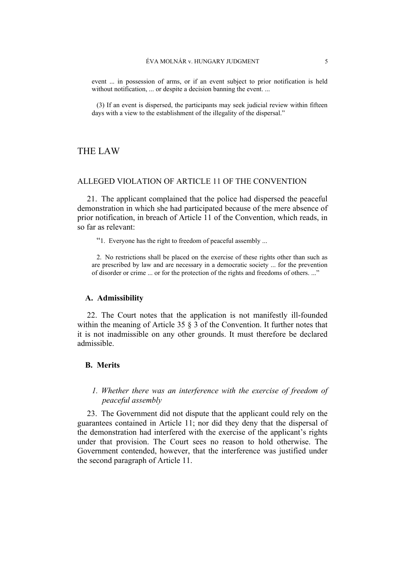event ... in possession of arms, or if an event subject to prior notification is held without notification, ... or despite a decision banning the event. ...

(3) If an event is dispersed, the participants may seek judicial review within fifteen days with a view to the establishment of the illegality of the dispersal."

## THE LAW

## ALLEGED VIOLATION OF ARTICLE 11 OF THE CONVENTION

21. The applicant complained that the police had dispersed the peaceful demonstration in which she had participated because of the mere absence of prior notification, in breach of Article 11 of the Convention, which reads, in so far as relevant:

"1. Everyone has the right to freedom of peaceful assembly ...

2. No restrictions shall be placed on the exercise of these rights other than such as are prescribed by law and are necessary in a democratic society ... for the prevention of disorder or crime ... or for the protection of the rights and freedoms of others. ..."

## **A. Admissibility**

22. The Court notes that the application is not manifestly ill-founded within the meaning of Article 35  $\S$  3 of the Convention. It further notes that it is not inadmissible on any other grounds. It must therefore be declared admissible.

## **B. Merits**

## *1. Whether there was an interference with the exercise of freedom of peaceful assembly*

23. The Government did not dispute that the applicant could rely on the guarantees contained in Article 11; nor did they deny that the dispersal of the demonstration had interfered with the exercise of the applicant's rights under that provision. The Court sees no reason to hold otherwise. The Government contended, however, that the interference was justified under the second paragraph of Article 11.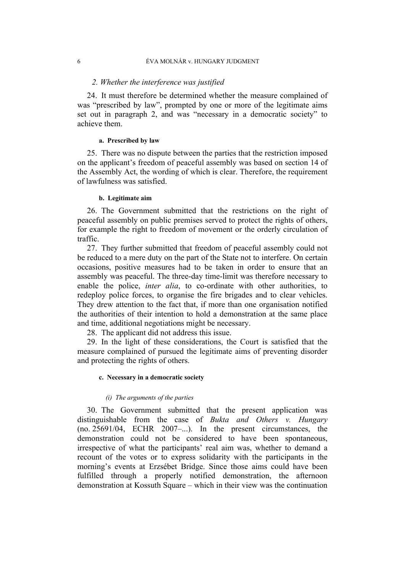## *2. Whether the interference was justified*

24. It must therefore be determined whether the measure complained of was "prescribed by law", prompted by one or more of the legitimate aims set out in paragraph 2, and was "necessary in a democratic society" to achieve them.

## **a. Prescribed by law**

25. There was no dispute between the parties that the restriction imposed on the applicant's freedom of peaceful assembly was based on section 14 of the Assembly Act, the wording of which is clear. Therefore, the requirement of lawfulness was satisfied.

## **b. Legitimate aim**

26. The Government submitted that the restrictions on the right of peaceful assembly on public premises served to protect the rights of others, for example the right to freedom of movement or the orderly circulation of traffic.

27. They further submitted that freedom of peaceful assembly could not be reduced to a mere duty on the part of the State not to interfere. On certain occasions, positive measures had to be taken in order to ensure that an assembly was peaceful. The three-day time-limit was therefore necessary to enable the police, *inter alia*, to co-ordinate with other authorities, to redeploy police forces, to organise the fire brigades and to clear vehicles. They drew attention to the fact that, if more than one organisation notified the authorities of their intention to hold a demonstration at the same place and time, additional negotiations might be necessary.

28. The applicant did not address this issue.

29. In the light of these considerations, the Court is satisfied that the measure complained of pursued the legitimate aims of preventing disorder and protecting the rights of others.

## **c. Necessary in a democratic society**

## *(i) The arguments of the parties*

30. The Government submitted that the present application was distinguishable from the case of *Bukta and Others v. Hungary* (no. 25691/04, ECHR 2007–...). In the present circumstances, the demonstration could not be considered to have been spontaneous, irrespective of what the participants' real aim was, whether to demand a recount of the votes or to express solidarity with the participants in the morning's events at Erzsébet Bridge. Since those aims could have been fulfilled through a properly notified demonstration, the afternoon demonstration at Kossuth Square – which in their view was the continuation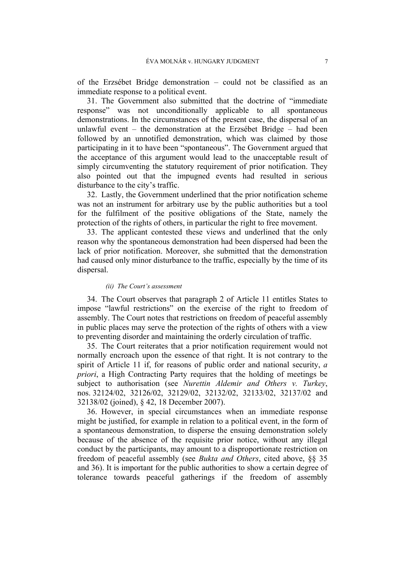of the Erzsébet Bridge demonstration – could not be classified as an immediate response to a political event.

31. The Government also submitted that the doctrine of "immediate response" was not unconditionally applicable to all spontaneous demonstrations. In the circumstances of the present case, the dispersal of an unlawful event – the demonstration at the Erzsébet Bridge – had been followed by an unnotified demonstration, which was claimed by those participating in it to have been "spontaneous". The Government argued that the acceptance of this argument would lead to the unacceptable result of simply circumventing the statutory requirement of prior notification. They also pointed out that the impugned events had resulted in serious disturbance to the city's traffic.

32. Lastly, the Government underlined that the prior notification scheme was not an instrument for arbitrary use by the public authorities but a tool for the fulfilment of the positive obligations of the State, namely the protection of the rights of others, in particular the right to free movement.

33. The applicant contested these views and underlined that the only reason why the spontaneous demonstration had been dispersed had been the lack of prior notification. Moreover, she submitted that the demonstration had caused only minor disturbance to the traffic, especially by the time of its dispersal.

## *(ii) The Court's assessment*

34. The Court observes that paragraph 2 of Article 11 entitles States to impose "lawful restrictions" on the exercise of the right to freedom of assembly. The Court notes that restrictions on freedom of peaceful assembly in public places may serve the protection of the rights of others with a view to preventing disorder and maintaining the orderly circulation of traffic.

35. The Court reiterates that a prior notification requirement would not normally encroach upon the essence of that right. It is not contrary to the spirit of Article 11 if, for reasons of public order and national security, *a priori*, a High Contracting Party requires that the holding of meetings be subject to authorisation (see *Nurettin Aldemir and Others v. Turkey*, nos. 32124/02, 32126/02, 32129/02, 32132/02, 32133/02, 32137/02 and 32138/02 (joined), § 42, 18 December 2007).

36. However, in special circumstances when an immediate response might be justified, for example in relation to a political event, in the form of a spontaneous demonstration, to disperse the ensuing demonstration solely because of the absence of the requisite prior notice, without any illegal conduct by the participants, may amount to a disproportionate restriction on freedom of peaceful assembly (see *Bukta and Others*, cited above, §§ 35 and 36). It is important for the public authorities to show a certain degree of tolerance towards peaceful gatherings if the freedom of assembly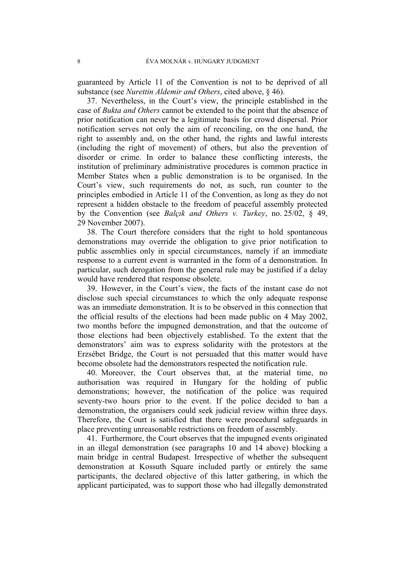guaranteed by Article 11 of the Convention is not to be deprived of all substance (see *Nurettin Aldemir and Others*, cited above, § 46).

37. Nevertheless, in the Court's view, the principle established in the case of *Bukta and Others* cannot be extended to the point that the absence of prior notification can never be a legitimate basis for crowd dispersal. Prior notification serves not only the aim of reconciling, on the one hand, the right to assembly and, on the other hand, the rights and lawful interests (including the right of movement) of others, but also the prevention of disorder or crime. In order to balance these conflicting interests, the institution of preliminary administrative procedures is common practice in Member States when a public demonstration is to be organised. In the Court's view, such requirements do not, as such, run counter to the principles embodied in Article 11 of the Convention, as long as they do not represent a hidden obstacle to the freedom of peaceful assembly protected by the Convention (see *Balçık and Others v. Turkey*, no. 25/02, § 49, 29 November 2007).

38. The Court therefore considers that the right to hold spontaneous demonstrations may override the obligation to give prior notification to public assemblies only in special circumstances, namely if an immediate response to a current event is warranted in the form of a demonstration. In particular, such derogation from the general rule may be justified if a delay would have rendered that response obsolete.

39. However, in the Court's view, the facts of the instant case do not disclose such special circumstances to which the only adequate response was an immediate demonstration. It is to be observed in this connection that the official results of the elections had been made public on 4 May 2002, two months before the impugned demonstration, and that the outcome of those elections had been objectively established. To the extent that the demonstrators' aim was to express solidarity with the protestors at the Erzsébet Bridge, the Court is not persuaded that this matter would have become obsolete had the demonstrators respected the notification rule.

40. Moreover, the Court observes that, at the material time, no authorisation was required in Hungary for the holding of public demonstrations; however, the notification of the police was required seventy-two hours prior to the event. If the police decided to ban a demonstration, the organisers could seek judicial review within three days. Therefore, the Court is satisfied that there were procedural safeguards in place preventing unreasonable restrictions on freedom of assembly.

41. Furthermore, the Court observes that the impugned events originated in an illegal demonstration (see paragraphs 10 and 14 above) blocking a main bridge in central Budapest. Irrespective of whether the subsequent demonstration at Kossuth Square included partly or entirely the same participants, the declared objective of this latter gathering, in which the applicant participated, was to support those who had illegally demonstrated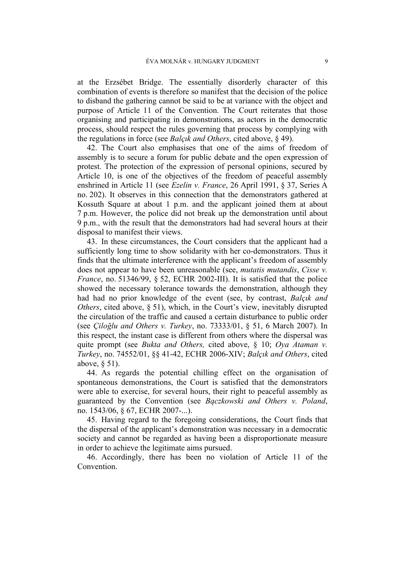at the Erzsébet Bridge. The essentially disorderly character of this combination of events is therefore so manifest that the decision of the police to disband the gathering cannot be said to be at variance with the object and purpose of Article 11 of the Convention. The Court reiterates that those organising and participating in demonstrations, as actors in the democratic process, should respect the rules governing that process by complying with the regulations in force (see *Balçık and Others*, cited above, § 49).

42. The Court also emphasises that one of the aims of freedom of assembly is to secure a forum for public debate and the open expression of protest. The protection of the expression of personal opinions, secured by Article 10, is one of the objectives of the freedom of peaceful assembly enshrined in Article 11 (see *Ezelin v. France*, 26 April 1991, § 37, Series A no. 202). It observes in this connection that the demonstrators gathered at Kossuth Square at about 1 p.m. and the applicant joined them at about 7 p.m. However, the police did not break up the demonstration until about 9 p.m., with the result that the demonstrators had had several hours at their disposal to manifest their views.

43. In these circumstances, the Court considers that the applicant had a sufficiently long time to show solidarity with her co-demonstrators. Thus it finds that the ultimate interference with the applicant's freedom of assembly does not appear to have been unreasonable (see, *mutatis mutandis*, *Cisse v. France*, no. 51346/99, § 52, ECHR 2002-III). It is satisfied that the police showed the necessary tolerance towards the demonstration, although they had had no prior knowledge of the event (see, by contrast, *Balçık and Others*, cited above, § 51), which, in the Court's view, inevitably disrupted the circulation of the traffic and caused a certain disturbance to public order (see *Çiloğlu and Others v. Turkey*, no. 73333/01, § 51, 6 March 2007). In this respect, the instant case is different from others where the dispersal was quite prompt (see *Bukta and Others,* cited above, § 10; *Oya Ataman v. Turkey*, no. 74552/01, §§ 41-42, ECHR 2006-XIV; *Balçık and Others*, cited above, § 51).

44. As regards the potential chilling effect on the organisation of spontaneous demonstrations, the Court is satisfied that the demonstrators were able to exercise, for several hours, their right to peaceful assembly as guaranteed by the Convention (see *Bączkowski and Others v. Poland*, no. 1543/06, § 67, ECHR 2007-...).

45. Having regard to the foregoing considerations, the Court finds that the dispersal of the applicant's demonstration was necessary in a democratic society and cannot be regarded as having been a disproportionate measure in order to achieve the legitimate aims pursued.

46. Accordingly, there has been no violation of Article 11 of the **Convention**